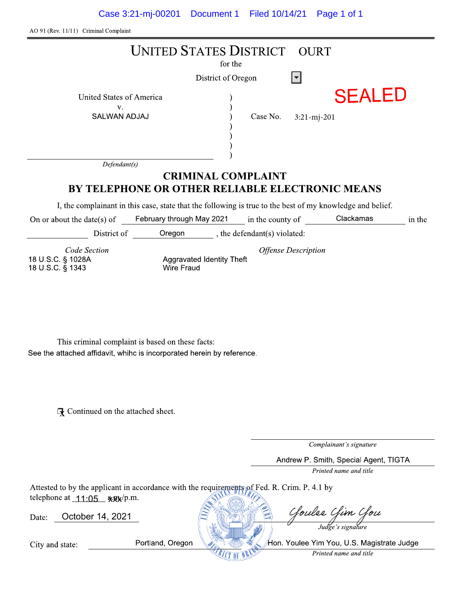| AO 91 (Rev. 11/11) Criminal Complaint                                                                                                                                              |                                          |                            |                                            |
|------------------------------------------------------------------------------------------------------------------------------------------------------------------------------------|------------------------------------------|----------------------------|--------------------------------------------|
|                                                                                                                                                                                    | <b>UNITED STATES DISTRICT</b><br>for the | <b>OURT</b>                |                                            |
|                                                                                                                                                                                    | District of Oregon                       | $\vert \mathbf{v} \vert$   |                                            |
| United States of America                                                                                                                                                           |                                          |                            | <b>SEALED</b>                              |
| V.<br><b>SALWAN ADJAJ</b>                                                                                                                                                          | Case No.                                 | $3:21-mj-201$              |                                            |
| Defendant(s)                                                                                                                                                                       |                                          |                            |                                            |
|                                                                                                                                                                                    | <b>CRIMINAL COMPLAINT</b>                |                            |                                            |
| BY TELEPHONE OR OTHER RELIABLE ELECTRONIC MEANS                                                                                                                                    |                                          |                            |                                            |
| I, the complainant in this case, state that the following is true to the best of my knowledge and belief.<br>February through May 2021<br>On or about the date(s) of               |                                          | in the county of           | Clackamas<br>in the                        |
| District of Oregon ________, the defendant(s) violated:                                                                                                                            |                                          |                            |                                            |
| Code Section<br>18 U.S.C. § 1028A<br><b>Wire Fraud</b><br>18 U.S.C. § 1343                                                                                                         | Aggravated Identity Theft                | <b>Offense Description</b> |                                            |
| This criminal complaint is based on these facts:<br>See the attached affidavit, whihc is incorporated herein by reference.<br>$\mathbb{R}$ Continued on the attached sheet.        |                                          |                            | Complainant's signature                    |
|                                                                                                                                                                                    |                                          |                            | Andrew P. Smith, Special Agent, TIGTA      |
|                                                                                                                                                                                    |                                          |                            | Printed name and title                     |
| Attested to by the applicant in accordance with the requirements of Fed. R. Crim. P. 4.1 by<br>telephone at $11:05$ $\frac{12}{105}$ $\frac{12}{105}$<br>October 14, 2021<br>Date: |                                          |                            | Goulee Gim Gou                             |
| Portland, Oregon<br>City and state:                                                                                                                                                |                                          |                            | Hon. Youlee Yim You, U.S. Magistrate Judge |
|                                                                                                                                                                                    |                                          |                            | Printed name and title                     |

| telephone at $T(T)$ ; www.p.m. |                  |                                            |
|--------------------------------|------------------|--------------------------------------------|
| Date:                          | October 14, 2021 | Cloulee Clim Clou                          |
|                                |                  | Judge's signature                          |
| City and state:                | Portland, Oregon | Hon. Youlee Yim You, U.S. Magistrate Judge |
|                                |                  | Printed name and title                     |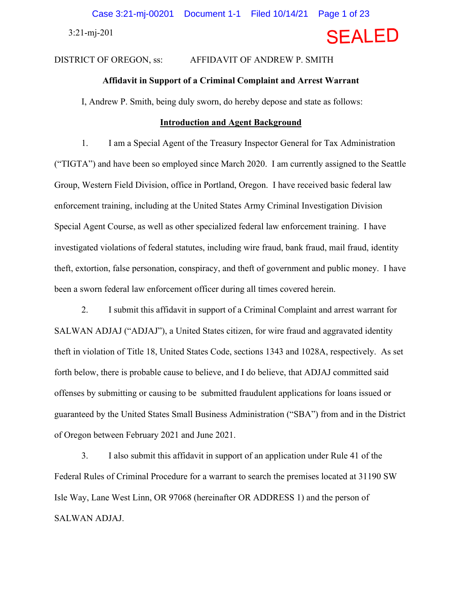3:21-mj-201

# **SEALED**

# DISTRICT OF OREGON, ss: AFFIDAVIT OF ANDREW P. SMITH

# **Affidavit in Support of a Criminal Complaint and Arrest Warrant**

I, Andrew P. Smith, being duly sworn, do hereby depose and state as follows:

### **Introduction and Agent Background**

1. I am a Special Agent of the Treasury Inspector General for Tax Administration ("TIGTA") and have been so employed since March 2020. I am currently assigned to the Seattle Group, Western Field Division, office in Portland, Oregon. I have received basic federal law enforcement training, including at the United States Army Criminal Investigation Division Special Agent Course, as well as other specialized federal law enforcement training. I have investigated violations of federal statutes, including wire fraud, bank fraud, mail fraud, identity theft, extortion, false personation, conspiracy, and theft of government and public money. I have been a sworn federal law enforcement officer during all times covered herein.

2. I submit this affidavit in support of a Criminal Complaint and arrest warrant for SALWAN ADJAJ ("ADJAJ"), a United States citizen, for wire fraud and aggravated identity theft in violation of Title 18, United States Code, sections 1343 and 1028A, respectively. As set forth below, there is probable cause to believe, and I do believe, that ADJAJ committed said offenses by submitting or causing to be submitted fraudulent applications for loans issued or guaranteed by the United States Small Business Administration ("SBA") from and in the District of Oregon between February 2021 and June 2021.

3. I also submit this affidavit in support of an application under Rule 41 of the Federal Rules of Criminal Procedure for a warrant to search the premises located at 31190 SW Isle Way, Lane West Linn, OR 97068 (hereinafter OR ADDRESS 1) and the person of SALWAN ADJAJ.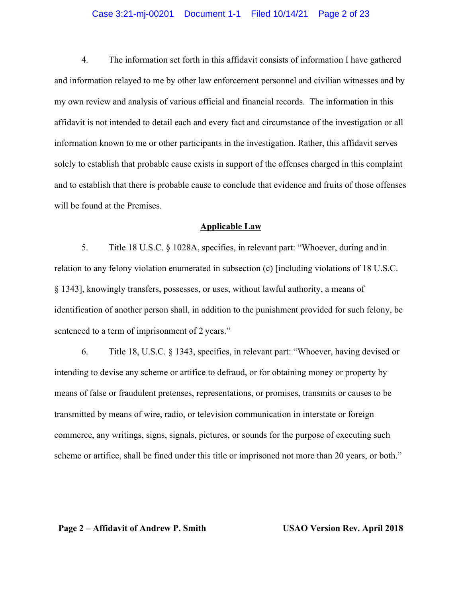## Case 3:21-mj-00201 Document 1-1 Filed 10/14/21 Page 2 of 23

4. The information set forth in this affidavit consists of information I have gathered and information relayed to me by other law enforcement personnel and civilian witnesses and by my own review and analysis of various official and financial records. The information in this affidavit is not intended to detail each and every fact and circumstance of the investigation or all information known to me or other participants in the investigation. Rather, this affidavit serves solely to establish that probable cause exists in support of the offenses charged in this complaint and to establish that there is probable cause to conclude that evidence and fruits of those offenses will be found at the Premises.

## **Applicable Law**

5. Title 18 U.S.C. § 1028A, specifies, in relevant part: "Whoever, during and in relation to any felony violation enumerated in subsection (c) [including violations of 18 U.S.C. § 1343], knowingly transfers, possesses, or uses, without lawful authority, a means of identification of another person shall, in addition to the punishment provided for such felony, be sentenced to a term of imprisonment of 2 years."

6. Title 18, U.S.C. § 1343, specifies, in relevant part: "Whoever, having devised or intending to devise any scheme or artifice to defraud, or for obtaining money or property by means of false or fraudulent pretenses, representations, or promises, transmits or causes to be transmitted by means of wire, radio, or television communication in interstate or foreign commerce, any writings, signs, signals, pictures, or sounds for the purpose of executing such scheme or artifice, shall be fined under this title or imprisoned not more than 20 years, or both."

**Page 2 – Affidavit of Andrew P. Smith USAO Version Rev. April 2018**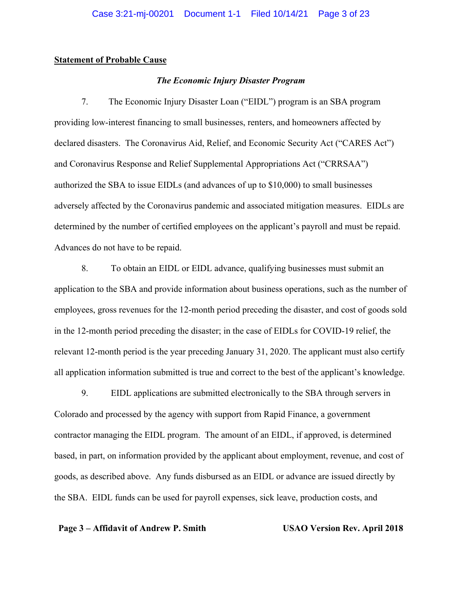# **Statement of Probable Cause**

# *The Economic Injury Disaster Program*

7. The Economic Injury Disaster Loan ("EIDL") program is an SBA program providing low-interest financing to small businesses, renters, and homeowners affected by declared disasters. The Coronavirus Aid, Relief, and Economic Security Act ("CARES Act") and Coronavirus Response and Relief Supplemental Appropriations Act ("CRRSAA") authorized the SBA to issue EIDLs (and advances of up to \$10,000) to small businesses adversely affected by the Coronavirus pandemic and associated mitigation measures. EIDLs are determined by the number of certified employees on the applicant's payroll and must be repaid. Advances do not have to be repaid.

8. To obtain an EIDL or EIDL advance, qualifying businesses must submit an application to the SBA and provide information about business operations, such as the number of employees, gross revenues for the 12-month period preceding the disaster, and cost of goods sold in the 12-month period preceding the disaster; in the case of EIDLs for COVID-19 relief, the relevant 12-month period is the year preceding January 31, 2020. The applicant must also certify all application information submitted is true and correct to the best of the applicant's knowledge.

9. EIDL applications are submitted electronically to the SBA through servers in Colorado and processed by the agency with support from Rapid Finance, a government contractor managing the EIDL program. The amount of an EIDL, if approved, is determined based, in part, on information provided by the applicant about employment, revenue, and cost of goods, as described above. Any funds disbursed as an EIDL or advance are issued directly by the SBA. EIDL funds can be used for payroll expenses, sick leave, production costs, and

## **Page 3 – Affidavit of Andrew P. Smith USAO Version Rev. April 2018**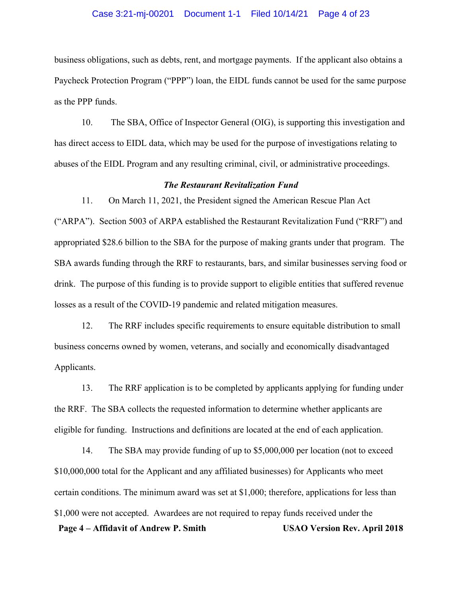## Case 3:21-mj-00201 Document 1-1 Filed 10/14/21 Page 4 of 23

business obligations, such as debts, rent, and mortgage payments. If the applicant also obtains a Paycheck Protection Program ("PPP") loan, the EIDL funds cannot be used for the same purpose as the PPP funds.

10. The SBA, Office of Inspector General (OIG), is supporting this investigation and has direct access to EIDL data, which may be used for the purpose of investigations relating to abuses of the EIDL Program and any resulting criminal, civil, or administrative proceedings.

# *The Restaurant Revitalization Fund*

11. On March 11, 2021, the President signed the American Rescue Plan Act ("ARPA"). Section 5003 of ARPA established the Restaurant Revitalization Fund ("RRF") and appropriated \$28.6 billion to the SBA for the purpose of making grants under that program. The SBA awards funding through the RRF to restaurants, bars, and similar businesses serving food or drink. The purpose of this funding is to provide support to eligible entities that suffered revenue losses as a result of the COVID-19 pandemic and related mitigation measures.

12. The RRF includes specific requirements to ensure equitable distribution to small business concerns owned by women, veterans, and socially and economically disadvantaged Applicants.

13. The RRF application is to be completed by applicants applying for funding under the RRF. The SBA collects the requested information to determine whether applicants are eligible for funding. Instructions and definitions are located at the end of each application.

**Page 4 – Affidavit of Andrew P. Smith USAO Version Rev. April 2018**  14. The SBA may provide funding of up to \$5,000,000 per location (not to exceed \$10,000,000 total for the Applicant and any affiliated businesses) for Applicants who meet certain conditions. The minimum award was set at \$1,000; therefore, applications for less than \$1,000 were not accepted. Awardees are not required to repay funds received under the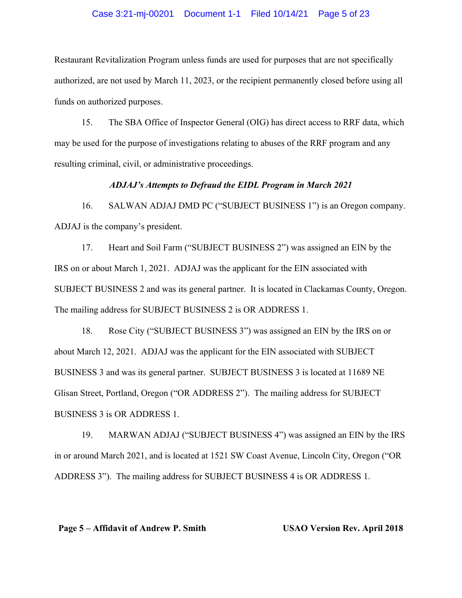## Case 3:21-mj-00201 Document 1-1 Filed 10/14/21 Page 5 of 23

Restaurant Revitalization Program unless funds are used for purposes that are not specifically authorized, are not used by March 11, 2023, or the recipient permanently closed before using all funds on authorized purposes.

15. The SBA Office of Inspector General (OIG) has direct access to RRF data, which may be used for the purpose of investigations relating to abuses of the RRF program and any resulting criminal, civil, or administrative proceedings.

# *ADJAJ's Attempts to Defraud the EIDL Program in March 2021*

16. SALWAN ADJAJ DMD PC ("SUBJECT BUSINESS 1") is an Oregon company. ADJAJ is the company's president.

17. Heart and Soil Farm ("SUBJECT BUSINESS 2") was assigned an EIN by the IRS on or about March 1, 2021. ADJAJ was the applicant for the EIN associated with SUBJECT BUSINESS 2 and was its general partner. It is located in Clackamas County, Oregon. The mailing address for SUBJECT BUSINESS 2 is OR ADDRESS 1.

18. Rose City ("SUBJECT BUSINESS 3") was assigned an EIN by the IRS on or about March 12, 2021. ADJAJ was the applicant for the EIN associated with SUBJECT BUSINESS 3 and was its general partner. SUBJECT BUSINESS 3 is located at 11689 NE Glisan Street, Portland, Oregon ("OR ADDRESS 2"). The mailing address for SUBJECT BUSINESS 3 is OR ADDRESS 1.

19. MARWAN ADJAJ ("SUBJECT BUSINESS 4") was assigned an EIN by the IRS in or around March 2021, and is located at 1521 SW Coast Avenue, Lincoln City, Oregon ("OR ADDRESS 3"). The mailing address for SUBJECT BUSINESS 4 is OR ADDRESS 1.

## **Page 5 – Affidavit of Andrew P. Smith USAO Version Rev. April 2018**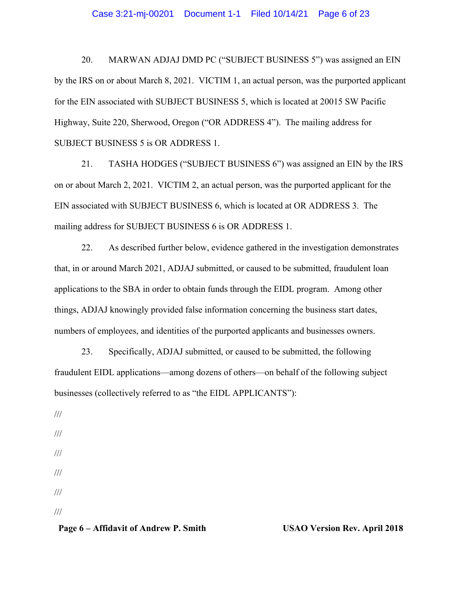20. MARWAN ADJAJ DMD PC ("SUBJECT BUSINESS 5") was assigned an EIN by the IRS on or about March 8, 2021. VICTIM 1, an actual person, was the purported applicant for the EIN associated with SUBJECT BUSINESS 5, which is located at 20015 SW Pacific Highway, Suite 220, Sherwood, Oregon ("OR ADDRESS 4"). The mailing address for SUBJECT BUSINESS 5 is OR ADDRESS 1.

21. TASHA HODGES ("SUBJECT BUSINESS 6") was assigned an EIN by the IRS on or about March 2, 2021. VICTIM 2, an actual person, was the purported applicant for the EIN associated with SUBJECT BUSINESS 6, which is located at OR ADDRESS 3. The mailing address for SUBJECT BUSINESS 6 is OR ADDRESS 1.

22. As described further below, evidence gathered in the investigation demonstrates that, in or around March 2021, ADJAJ submitted, or caused to be submitted, fraudulent loan applications to the SBA in order to obtain funds through the EIDL program. Among other things, ADJAJ knowingly provided false information concerning the business start dates, numbers of employees, and identities of the purported applicants and businesses owners.

23. Specifically, ADJAJ submitted, or caused to be submitted, the following fraudulent EIDL applications—among dozens of others—on behalf of the following subject businesses (collectively referred to as "the EIDL APPLICANTS"):

///

///

- ///
- ///
- ///

///

# Page 6 – Affidavit of Andrew P. Smith USAO Version Rev. April 2018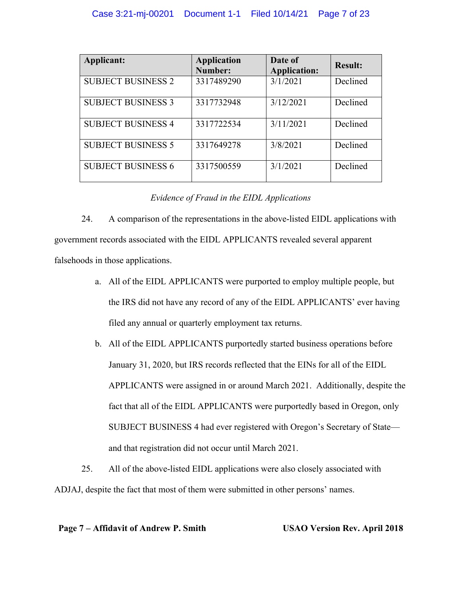| Applicant:                | <b>Application</b><br>Number: | Date of<br><b>Application:</b> | <b>Result:</b> |
|---------------------------|-------------------------------|--------------------------------|----------------|
| <b>SUBJECT BUSINESS 2</b> | 3317489290                    | 3/1/2021                       | Declined       |
| <b>SUBJECT BUSINESS 3</b> | 3317732948                    | 3/12/2021                      | Declined       |
| <b>SUBJECT BUSINESS 4</b> | 3317722534                    | 3/11/2021                      | Declined       |
| <b>SUBJECT BUSINESS 5</b> | 3317649278                    | 3/8/2021                       | Declined       |
| <b>SUBJECT BUSINESS 6</b> | 3317500559                    | 3/1/2021                       | Declined       |

# *Evidence of Fraud in the EIDL Applications*

24. A comparison of the representations in the above-listed EIDL applications with government records associated with the EIDL APPLICANTS revealed several apparent falsehoods in those applications.

- a. All of the EIDL APPLICANTS were purported to employ multiple people, but the IRS did not have any record of any of the EIDL APPLICANTS' ever having filed any annual or quarterly employment tax returns.
- b. All of the EIDL APPLICANTS purportedly started business operations before January 31, 2020, but IRS records reflected that the EINs for all of the EIDL APPLICANTS were assigned in or around March 2021. Additionally, despite the fact that all of the EIDL APPLICANTS were purportedly based in Oregon, only SUBJECT BUSINESS 4 had ever registered with Oregon's Secretary of State and that registration did not occur until March 2021.
- 25. All of the above-listed EIDL applications were also closely associated with ADJAJ, despite the fact that most of them were submitted in other persons' names.

# **Page 7 – Affidavit of Andrew P. Smith USAO Version Rev. April 2018**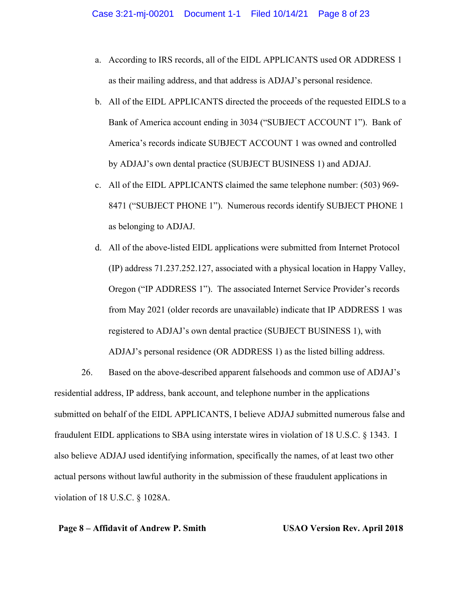- a. According to IRS records, all of the EIDL APPLICANTS used OR ADDRESS 1 as their mailing address, and that address is ADJAJ's personal residence.
- b. All of the EIDL APPLICANTS directed the proceeds of the requested EIDLS to a Bank of America account ending in 3034 ("SUBJECT ACCOUNT 1"). Bank of America's records indicate SUBJECT ACCOUNT 1 was owned and controlled by ADJAJ's own dental practice (SUBJECT BUSINESS 1) and ADJAJ.
- c. All of the EIDL APPLICANTS claimed the same telephone number: (503) 969- 8471 ("SUBJECT PHONE 1"). Numerous records identify SUBJECT PHONE 1 as belonging to ADJAJ.
- d. All of the above-listed EIDL applications were submitted from Internet Protocol (IP) address 71.237.252.127, associated with a physical location in Happy Valley, Oregon ("IP ADDRESS 1"). The associated Internet Service Provider's records from May 2021 (older records are unavailable) indicate that IP ADDRESS 1 was registered to ADJAJ's own dental practice (SUBJECT BUSINESS 1), with ADJAJ's personal residence (OR ADDRESS 1) as the listed billing address.

26. Based on the above-described apparent falsehoods and common use of ADJAJ's residential address, IP address, bank account, and telephone number in the applications submitted on behalf of the EIDL APPLICANTS, I believe ADJAJ submitted numerous false and fraudulent EIDL applications to SBA using interstate wires in violation of 18 U.S.C. § 1343. I also believe ADJAJ used identifying information, specifically the names, of at least two other actual persons without lawful authority in the submission of these fraudulent applications in violation of 18 U.S.C. § 1028A.

# **Page 8 – Affidavit of Andrew P. Smith USAO Version Rev. April 2018**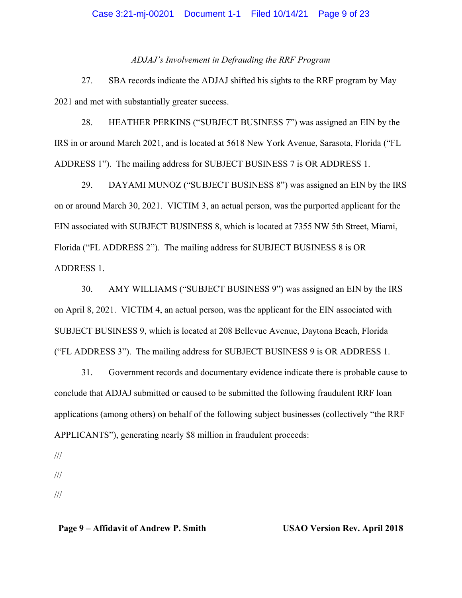*ADJAJ's Involvement in Defrauding the RRF Program* 

27. SBA records indicate the ADJAJ shifted his sights to the RRF program by May 2021 and met with substantially greater success.

28. HEATHER PERKINS ("SUBJECT BUSINESS 7") was assigned an EIN by the IRS in or around March 2021, and is located at 5618 New York Avenue, Sarasota, Florida ("FL ADDRESS 1"). The mailing address for SUBJECT BUSINESS 7 is OR ADDRESS 1.

29. DAYAMI MUNOZ ("SUBJECT BUSINESS 8") was assigned an EIN by the IRS on or around March 30, 2021. VICTIM 3, an actual person, was the purported applicant for the EIN associated with SUBJECT BUSINESS 8, which is located at 7355 NW 5th Street, Miami, Florida ("FL ADDRESS 2"). The mailing address for SUBJECT BUSINESS 8 is OR ADDRESS 1.

30. AMY WILLIAMS ("SUBJECT BUSINESS 9") was assigned an EIN by the IRS on April 8, 2021. VICTIM 4, an actual person, was the applicant for the EIN associated with SUBJECT BUSINESS 9, which is located at 208 Bellevue Avenue, Daytona Beach, Florida ("FL ADDRESS 3"). The mailing address for SUBJECT BUSINESS 9 is OR ADDRESS 1.

31. Government records and documentary evidence indicate there is probable cause to conclude that ADJAJ submitted or caused to be submitted the following fraudulent RRF loan applications (among others) on behalf of the following subject businesses (collectively "the RRF APPLICANTS"), generating nearly \$8 million in fraudulent proceeds:

///

- ///
- ///

# **Page 9 – Affidavit of Andrew P. Smith USAO Version Rev. April 2018**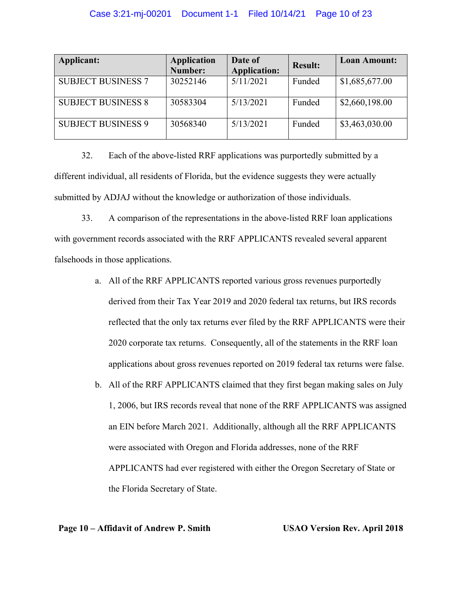| Applicant:                | <b>Application</b><br>Number: | Date of<br><b>Application:</b> | <b>Result:</b> | <b>Loan Amount:</b> |
|---------------------------|-------------------------------|--------------------------------|----------------|---------------------|
| <b>SUBJECT BUSINESS 7</b> | 30252146                      | 5/11/2021                      | Funded         | \$1,685,677.00      |
| <b>SUBJECT BUSINESS 8</b> | 30583304                      | 5/13/2021                      | Funded         | \$2,660,198.00      |
| <b>SUBJECT BUSINESS 9</b> | 30568340                      | 5/13/2021                      | Funded         | \$3,463,030.00      |

32. Each of the above-listed RRF applications was purportedly submitted by a different individual, all residents of Florida, but the evidence suggests they were actually submitted by ADJAJ without the knowledge or authorization of those individuals.

33. A comparison of the representations in the above-listed RRF loan applications with government records associated with the RRF APPLICANTS revealed several apparent falsehoods in those applications.

- a. All of the RRF APPLICANTS reported various gross revenues purportedly derived from their Tax Year 2019 and 2020 federal tax returns, but IRS records reflected that the only tax returns ever filed by the RRF APPLICANTS were their 2020 corporate tax returns. Consequently, all of the statements in the RRF loan applications about gross revenues reported on 2019 federal tax returns were false.
- b. All of the RRF APPLICANTS claimed that they first began making sales on July 1, 2006, but IRS records reveal that none of the RRF APPLICANTS was assigned an EIN before March 2021. Additionally, although all the RRF APPLICANTS were associated with Oregon and Florida addresses, none of the RRF APPLICANTS had ever registered with either the Oregon Secretary of State or the Florida Secretary of State.

**Page 10 – Affidavit of Andrew P. Smith USAO Version Rev. April 2018**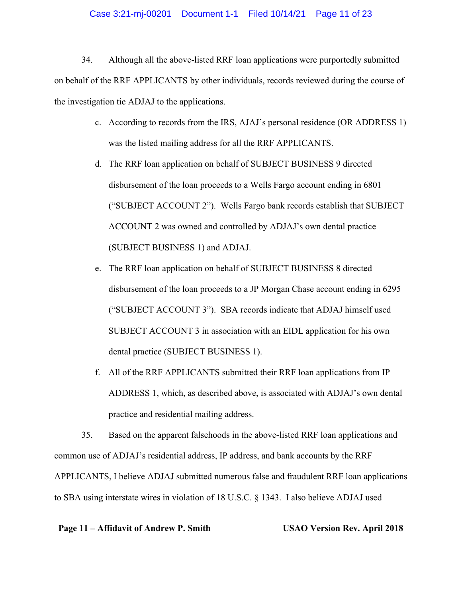## Case 3:21-mj-00201 Document 1-1 Filed 10/14/21 Page 11 of 23

34. Although all the above-listed RRF loan applications were purportedly submitted on behalf of the RRF APPLICANTS by other individuals, records reviewed during the course of the investigation tie ADJAJ to the applications.

- c. According to records from the IRS, AJAJ's personal residence (OR ADDRESS 1) was the listed mailing address for all the RRF APPLICANTS.
- d. The RRF loan application on behalf of SUBJECT BUSINESS 9 directed disbursement of the loan proceeds to a Wells Fargo account ending in 6801 ("SUBJECT ACCOUNT 2"). Wells Fargo bank records establish that SUBJECT ACCOUNT 2 was owned and controlled by ADJAJ's own dental practice (SUBJECT BUSINESS 1) and ADJAJ.
- e. The RRF loan application on behalf of SUBJECT BUSINESS 8 directed disbursement of the loan proceeds to a JP Morgan Chase account ending in 6295 ("SUBJECT ACCOUNT 3"). SBA records indicate that ADJAJ himself used SUBJECT ACCOUNT 3 in association with an EIDL application for his own dental practice (SUBJECT BUSINESS 1).
- f. All of the RRF APPLICANTS submitted their RRF loan applications from IP ADDRESS 1, which, as described above, is associated with ADJAJ's own dental practice and residential mailing address.

35. Based on the apparent falsehoods in the above-listed RRF loan applications and common use of ADJAJ's residential address, IP address, and bank accounts by the RRF APPLICANTS, I believe ADJAJ submitted numerous false and fraudulent RRF loan applications to SBA using interstate wires in violation of 18 U.S.C. § 1343. I also believe ADJAJ used

## **Page 11 – Affidavit of Andrew P. Smith USAO Version Rev. April 2018**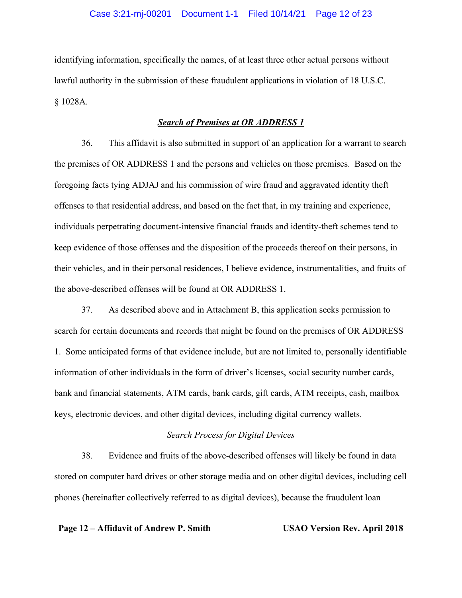## Case 3:21-mj-00201 Document 1-1 Filed 10/14/21 Page 12 of 23

identifying information, specifically the names, of at least three other actual persons without lawful authority in the submission of these fraudulent applications in violation of 18 U.S.C. § 1028A.

# *Search of Premises at OR ADDRESS 1*

36. This affidavit is also submitted in support of an application for a warrant to search the premises of OR ADDRESS 1 and the persons and vehicles on those premises. Based on the foregoing facts tying ADJAJ and his commission of wire fraud and aggravated identity theft offenses to that residential address, and based on the fact that, in my training and experience, individuals perpetrating document-intensive financial frauds and identity-theft schemes tend to keep evidence of those offenses and the disposition of the proceeds thereof on their persons, in their vehicles, and in their personal residences, I believe evidence, instrumentalities, and fruits of the above-described offenses will be found at OR ADDRESS 1.

37. As described above and in Attachment B, this application seeks permission to search for certain documents and records that might be found on the premises of OR ADDRESS 1. Some anticipated forms of that evidence include, but are not limited to, personally identifiable information of other individuals in the form of driver's licenses, social security number cards, bank and financial statements, ATM cards, bank cards, gift cards, ATM receipts, cash, mailbox keys, electronic devices, and other digital devices, including digital currency wallets.

#### *Search Process for Digital Devices*

38. Evidence and fruits of the above-described offenses will likely be found in data stored on computer hard drives or other storage media and on other digital devices, including cell phones (hereinafter collectively referred to as digital devices), because the fraudulent loan

## **Page 12 – Affidavit of Andrew P. Smith USAO Version Rev. April 2018**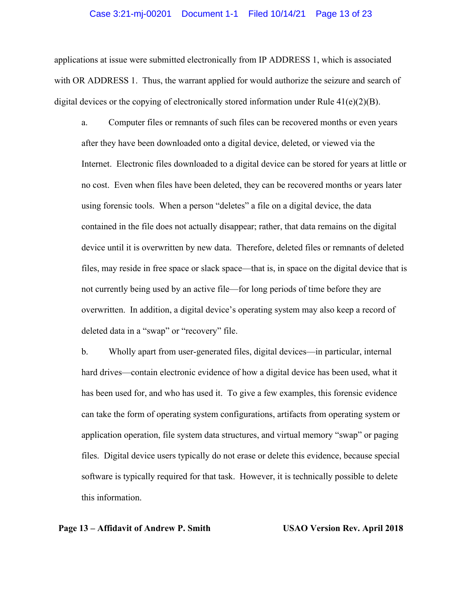# Case 3:21-mj-00201 Document 1-1 Filed 10/14/21 Page 13 of 23

applications at issue were submitted electronically from IP ADDRESS 1, which is associated with OR ADDRESS 1. Thus, the warrant applied for would authorize the seizure and search of digital devices or the copying of electronically stored information under Rule  $41(e)(2)(B)$ .

a. Computer files or remnants of such files can be recovered months or even years after they have been downloaded onto a digital device, deleted, or viewed via the Internet. Electronic files downloaded to a digital device can be stored for years at little or no cost. Even when files have been deleted, they can be recovered months or years later using forensic tools. When a person "deletes" a file on a digital device, the data contained in the file does not actually disappear; rather, that data remains on the digital device until it is overwritten by new data. Therefore, deleted files or remnants of deleted files, may reside in free space or slack space—that is, in space on the digital device that is not currently being used by an active file—for long periods of time before they are overwritten. In addition, a digital device's operating system may also keep a record of deleted data in a "swap" or "recovery" file.

b. Wholly apart from user-generated files, digital devices—in particular, internal hard drives—contain electronic evidence of how a digital device has been used, what it has been used for, and who has used it. To give a few examples, this forensic evidence can take the form of operating system configurations, artifacts from operating system or application operation, file system data structures, and virtual memory "swap" or paging files. Digital device users typically do not erase or delete this evidence, because special software is typically required for that task. However, it is technically possible to delete this information.

## **Page 13 – Affidavit of Andrew P. Smith USAO Version Rev. April 2018**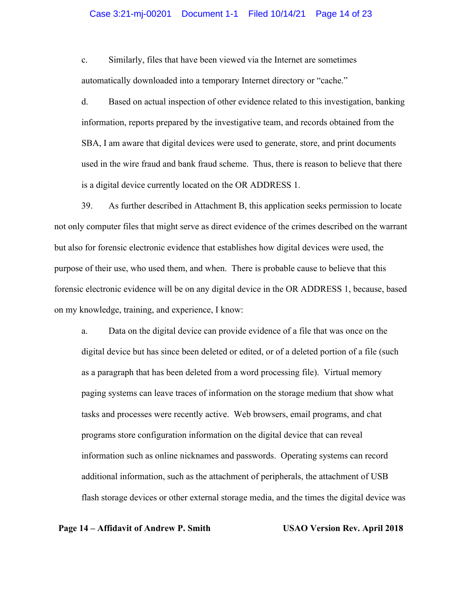# Case 3:21-mj-00201 Document 1-1 Filed 10/14/21 Page 14 of 23

c. Similarly, files that have been viewed via the Internet are sometimes automatically downloaded into a temporary Internet directory or "cache."

d. Based on actual inspection of other evidence related to this investigation, banking information, reports prepared by the investigative team, and records obtained from the SBA, I am aware that digital devices were used to generate, store, and print documents used in the wire fraud and bank fraud scheme. Thus, there is reason to believe that there is a digital device currently located on the OR ADDRESS 1.

39. As further described in Attachment B, this application seeks permission to locate not only computer files that might serve as direct evidence of the crimes described on the warrant but also for forensic electronic evidence that establishes how digital devices were used, the purpose of their use, who used them, and when. There is probable cause to believe that this forensic electronic evidence will be on any digital device in the OR ADDRESS 1, because, based on my knowledge, training, and experience, I know:

a. Data on the digital device can provide evidence of a file that was once on the digital device but has since been deleted or edited, or of a deleted portion of a file (such as a paragraph that has been deleted from a word processing file). Virtual memory paging systems can leave traces of information on the storage medium that show what tasks and processes were recently active. Web browsers, email programs, and chat programs store configuration information on the digital device that can reveal information such as online nicknames and passwords. Operating systems can record additional information, such as the attachment of peripherals, the attachment of USB flash storage devices or other external storage media, and the times the digital device was

## **Page 14 – Affidavit of Andrew P. Smith USAO Version Rev. April 2018**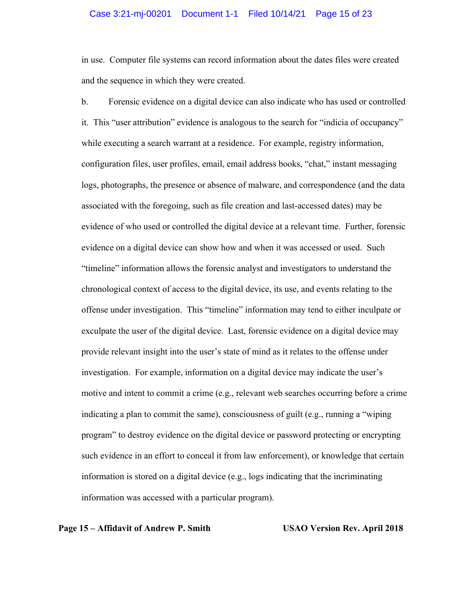# Case 3:21-mj-00201 Document 1-1 Filed 10/14/21 Page 15 of 23

in use. Computer file systems can record information about the dates files were created and the sequence in which they were created.

b. Forensic evidence on a digital device can also indicate who has used or controlled it. This "user attribution" evidence is analogous to the search for "indicia of occupancy" while executing a search warrant at a residence. For example, registry information, configuration files, user profiles, email, email address books, "chat," instant messaging logs, photographs, the presence or absence of malware, and correspondence (and the data associated with the foregoing, such as file creation and last-accessed dates) may be evidence of who used or controlled the digital device at a relevant time. Further, forensic evidence on a digital device can show how and when it was accessed or used. Such "timeline" information allows the forensic analyst and investigators to understand the chronological context of access to the digital device, its use, and events relating to the offense under investigation. This "timeline" information may tend to either inculpate or exculpate the user of the digital device. Last, forensic evidence on a digital device may provide relevant insight into the user's state of mind as it relates to the offense under investigation. For example, information on a digital device may indicate the user's motive and intent to commit a crime (e.g., relevant web searches occurring before a crime indicating a plan to commit the same), consciousness of guilt (e.g., running a "wiping program" to destroy evidence on the digital device or password protecting or encrypting such evidence in an effort to conceal it from law enforcement), or knowledge that certain information is stored on a digital device (e.g., logs indicating that the incriminating information was accessed with a particular program).

## **Page 15 – Affidavit of Andrew P. Smith USAO Version Rev. April 2018**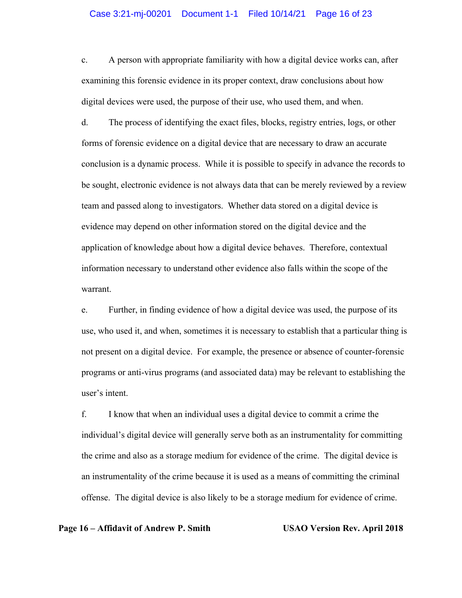# Case 3:21-mj-00201 Document 1-1 Filed 10/14/21 Page 16 of 23

c. A person with appropriate familiarity with how a digital device works can, after examining this forensic evidence in its proper context, draw conclusions about how digital devices were used, the purpose of their use, who used them, and when.

d. The process of identifying the exact files, blocks, registry entries, logs, or other forms of forensic evidence on a digital device that are necessary to draw an accurate conclusion is a dynamic process. While it is possible to specify in advance the records to be sought, electronic evidence is not always data that can be merely reviewed by a review team and passed along to investigators. Whether data stored on a digital device is evidence may depend on other information stored on the digital device and the application of knowledge about how a digital device behaves. Therefore, contextual information necessary to understand other evidence also falls within the scope of the warrant.

e. Further, in finding evidence of how a digital device was used, the purpose of its use, who used it, and when, sometimes it is necessary to establish that a particular thing is not present on a digital device. For example, the presence or absence of counter-forensic programs or anti-virus programs (and associated data) may be relevant to establishing the user's intent.

f. I know that when an individual uses a digital device to commit a crime the individual's digital device will generally serve both as an instrumentality for committing the crime and also as a storage medium for evidence of the crime. The digital device is an instrumentality of the crime because it is used as a means of committing the criminal offense. The digital device is also likely to be a storage medium for evidence of crime.

## **Page 16 – Affidavit of Andrew P. Smith USAO Version Rev. April 2018**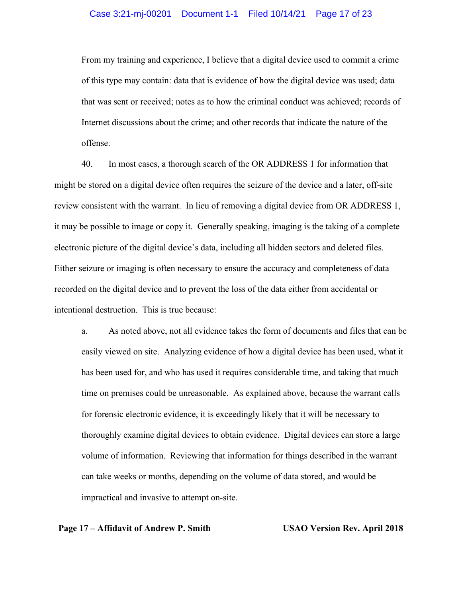From my training and experience, I believe that a digital device used to commit a crime of this type may contain: data that is evidence of how the digital device was used; data that was sent or received; notes as to how the criminal conduct was achieved; records of Internet discussions about the crime; and other records that indicate the nature of the offense.

40. In most cases, a thorough search of the OR ADDRESS 1 for information that might be stored on a digital device often requires the seizure of the device and a later, off-site review consistent with the warrant. In lieu of removing a digital device from OR ADDRESS 1, it may be possible to image or copy it. Generally speaking, imaging is the taking of a complete electronic picture of the digital device's data, including all hidden sectors and deleted files. Either seizure or imaging is often necessary to ensure the accuracy and completeness of data recorded on the digital device and to prevent the loss of the data either from accidental or intentional destruction. This is true because:

a. As noted above, not all evidence takes the form of documents and files that can be easily viewed on site. Analyzing evidence of how a digital device has been used, what it has been used for, and who has used it requires considerable time, and taking that much time on premises could be unreasonable. As explained above, because the warrant calls for forensic electronic evidence, it is exceedingly likely that it will be necessary to thoroughly examine digital devices to obtain evidence. Digital devices can store a large volume of information. Reviewing that information for things described in the warrant can take weeks or months, depending on the volume of data stored, and would be impractical and invasive to attempt on-site.

## **Page 17 – Affidavit of Andrew P. Smith USAO Version Rev. April 2018**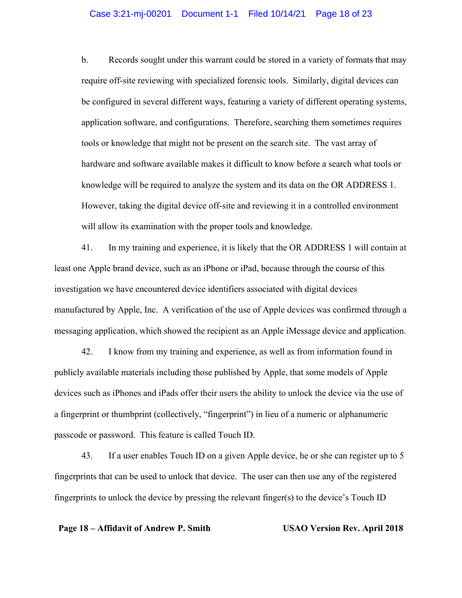## Case 3:21-mj-00201 Document 1-1 Filed 10/14/21 Page 18 of 23

b. Records sought under this warrant could be stored in a variety of formats that may require off-site reviewing with specialized forensic tools. Similarly, digital devices can be configured in several different ways, featuring a variety of different operating systems, application software, and configurations. Therefore, searching them sometimes requires tools or knowledge that might not be present on the search site. The vast array of hardware and software available makes it difficult to know before a search what tools or knowledge will be required to analyze the system and its data on the OR ADDRESS 1. However, taking the digital device off-site and reviewing it in a controlled environment will allow its examination with the proper tools and knowledge.

41. In my training and experience, it is likely that the OR ADDRESS 1 will contain at least one Apple brand device, such as an iPhone or iPad, because through the course of this investigation we have encountered device identifiers associated with digital devices manufactured by Apple, Inc. A verification of the use of Apple devices was confirmed through a messaging application, which showed the recipient as an Apple iMessage device and application.

42. I know from my training and experience, as well as from information found in publicly available materials including those published by Apple, that some models of Apple devices such as iPhones and iPads offer their users the ability to unlock the device via the use of a fingerprint or thumbprint (collectively, "fingerprint") in lieu of a numeric or alphanumeric passcode or password. This feature is called Touch ID.

43. If a user enables Touch ID on a given Apple device, he or she can register up to 5 fingerprints that can be used to unlock that device. The user can then use any of the registered fingerprints to unlock the device by pressing the relevant finger(s) to the device's Touch ID

## **Page 18 – Affidavit of Andrew P. Smith USAO Version Rev. April 2018**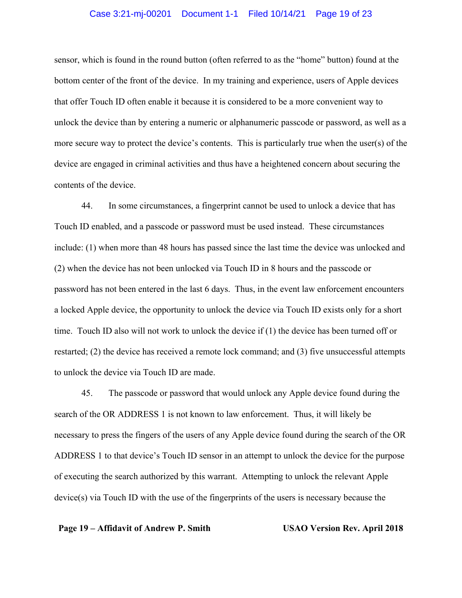## Case 3:21-mj-00201 Document 1-1 Filed 10/14/21 Page 19 of 23

sensor, which is found in the round button (often referred to as the "home" button) found at the bottom center of the front of the device. In my training and experience, users of Apple devices that offer Touch ID often enable it because it is considered to be a more convenient way to unlock the device than by entering a numeric or alphanumeric passcode or password, as well as a more secure way to protect the device's contents. This is particularly true when the user(s) of the device are engaged in criminal activities and thus have a heightened concern about securing the contents of the device.

44. In some circumstances, a fingerprint cannot be used to unlock a device that has Touch ID enabled, and a passcode or password must be used instead. These circumstances include: (1) when more than 48 hours has passed since the last time the device was unlocked and (2) when the device has not been unlocked via Touch ID in 8 hours and the passcode or password has not been entered in the last 6 days. Thus, in the event law enforcement encounters a locked Apple device, the opportunity to unlock the device via Touch ID exists only for a short time. Touch ID also will not work to unlock the device if (1) the device has been turned off or restarted; (2) the device has received a remote lock command; and (3) five unsuccessful attempts to unlock the device via Touch ID are made.

45. The passcode or password that would unlock any Apple device found during the search of the OR ADDRESS 1 is not known to law enforcement. Thus, it will likely be necessary to press the fingers of the users of any Apple device found during the search of the OR ADDRESS 1 to that device's Touch ID sensor in an attempt to unlock the device for the purpose of executing the search authorized by this warrant. Attempting to unlock the relevant Apple device(s) via Touch ID with the use of the fingerprints of the users is necessary because the

## **Page 19 – Affidavit of Andrew P. Smith USAO Version Rev. April 2018**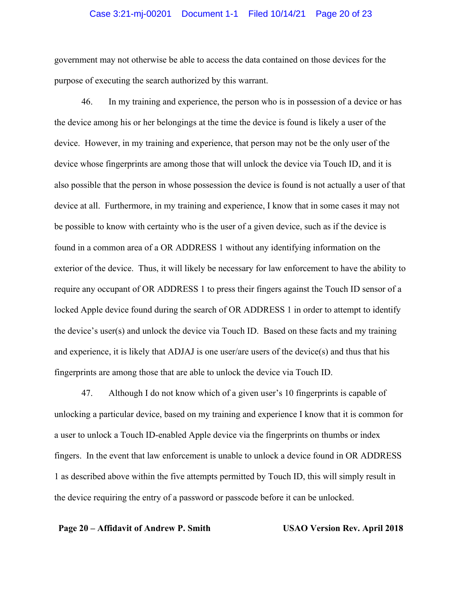# Case 3:21-mj-00201 Document 1-1 Filed 10/14/21 Page 20 of 23

government may not otherwise be able to access the data contained on those devices for the purpose of executing the search authorized by this warrant.

46. In my training and experience, the person who is in possession of a device or has the device among his or her belongings at the time the device is found is likely a user of the device. However, in my training and experience, that person may not be the only user of the device whose fingerprints are among those that will unlock the device via Touch ID, and it is also possible that the person in whose possession the device is found is not actually a user of that device at all. Furthermore, in my training and experience, I know that in some cases it may not be possible to know with certainty who is the user of a given device, such as if the device is found in a common area of a OR ADDRESS 1 without any identifying information on the exterior of the device. Thus, it will likely be necessary for law enforcement to have the ability to require any occupant of OR ADDRESS 1 to press their fingers against the Touch ID sensor of a locked Apple device found during the search of OR ADDRESS 1 in order to attempt to identify the device's user(s) and unlock the device via Touch ID. Based on these facts and my training and experience, it is likely that ADJAJ is one user/are users of the device(s) and thus that his fingerprints are among those that are able to unlock the device via Touch ID.

47. Although I do not know which of a given user's 10 fingerprints is capable of unlocking a particular device, based on my training and experience I know that it is common for a user to unlock a Touch ID-enabled Apple device via the fingerprints on thumbs or index fingers. In the event that law enforcement is unable to unlock a device found in OR ADDRESS 1 as described above within the five attempts permitted by Touch ID, this will simply result in the device requiring the entry of a password or passcode before it can be unlocked.

## **Page 20 – Affidavit of Andrew P. Smith USAO Version Rev. April 2018**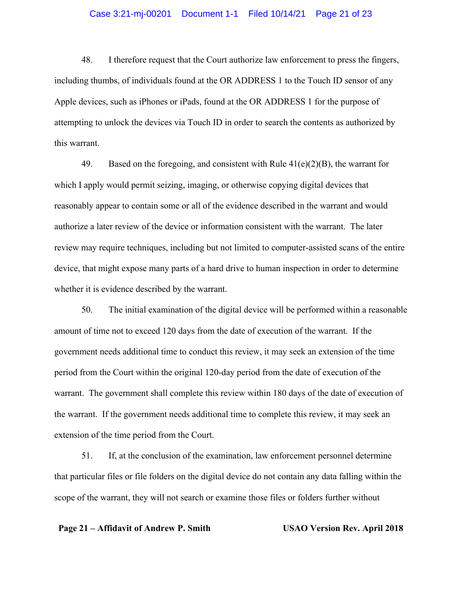# Case 3:21-mj-00201 Document 1-1 Filed 10/14/21 Page 21 of 23

48. I therefore request that the Court authorize law enforcement to press the fingers, including thumbs, of individuals found at the OR ADDRESS 1 to the Touch ID sensor of any Apple devices, such as iPhones or iPads, found at the OR ADDRESS 1 for the purpose of attempting to unlock the devices via Touch ID in order to search the contents as authorized by this warrant.

49. Based on the foregoing, and consistent with Rule  $41(e)(2)(B)$ , the warrant for which I apply would permit seizing, imaging, or otherwise copying digital devices that reasonably appear to contain some or all of the evidence described in the warrant and would authorize a later review of the device or information consistent with the warrant. The later review may require techniques, including but not limited to computer-assisted scans of the entire device, that might expose many parts of a hard drive to human inspection in order to determine whether it is evidence described by the warrant.

50. The initial examination of the digital device will be performed within a reasonable amount of time not to exceed 120 days from the date of execution of the warrant. If the government needs additional time to conduct this review, it may seek an extension of the time period from the Court within the original 120-day period from the date of execution of the warrant. The government shall complete this review within 180 days of the date of execution of the warrant. If the government needs additional time to complete this review, it may seek an extension of the time period from the Court.

51. If, at the conclusion of the examination, law enforcement personnel determine that particular files or file folders on the digital device do not contain any data falling within the scope of the warrant, they will not search or examine those files or folders further without

## **Page 21 – Affidavit of Andrew P. Smith USAO Version Rev. April 2018**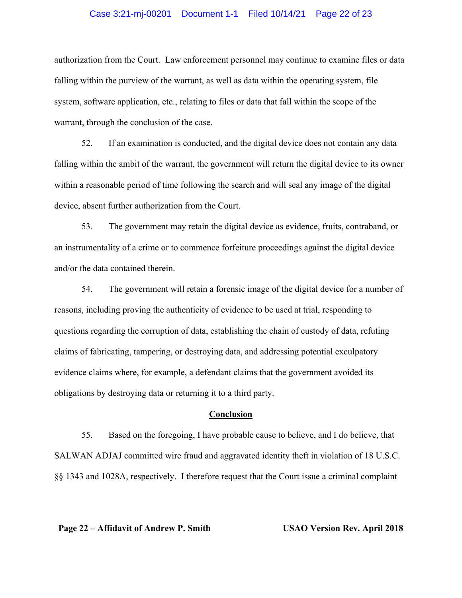## Case 3:21-mj-00201 Document 1-1 Filed 10/14/21 Page 22 of 23

authorization from the Court. Law enforcement personnel may continue to examine files or data falling within the purview of the warrant, as well as data within the operating system, file system, software application, etc., relating to files or data that fall within the scope of the warrant, through the conclusion of the case.

52. If an examination is conducted, and the digital device does not contain any data falling within the ambit of the warrant, the government will return the digital device to its owner within a reasonable period of time following the search and will seal any image of the digital device, absent further authorization from the Court.

53. The government may retain the digital device as evidence, fruits, contraband, or an instrumentality of a crime or to commence forfeiture proceedings against the digital device and/or the data contained therein.

54. The government will retain a forensic image of the digital device for a number of reasons, including proving the authenticity of evidence to be used at trial, responding to questions regarding the corruption of data, establishing the chain of custody of data, refuting claims of fabricating, tampering, or destroying data, and addressing potential exculpatory evidence claims where, for example, a defendant claims that the government avoided its obligations by destroying data or returning it to a third party.

### **Conclusion**

55. Based on the foregoing, I have probable cause to believe, and I do believe, that SALWAN ADJAJ committed wire fraud and aggravated identity theft in violation of 18 U.S.C. §§ 1343 and 1028A, respectively. I therefore request that the Court issue a criminal complaint

**Page 22 – Affidavit of Andrew P. Smith USAO Version Rev. April 2018**